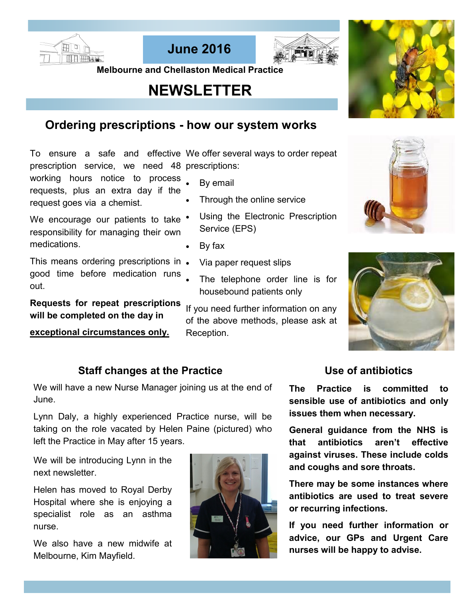





 **Melbourne and Chellaston Medical Practice** 

# **NEWSLETTER**

## **Ordering prescriptions - how our system works**

To ensure a safe and effective We offer several ways to order repeat prescription service, we need 48 prescriptions:

working hours notice to process requests, plus an extra day if the request goes via a chemist.

We encourage our patients to take  $\bullet$ responsibility for managing their own medications.

This means ordering prescriptions in. good time before medication runs out.

**Requests for repeat prescriptions will be completed on the day in** 

**exceptional circumstances only.**

- By email
- Through the online service
- Using the Electronic Prescription Service (EPS)
- By fax
- Via paper request slips
- The telephone order line is for housebound patients only

If you need further information on any of the above methods, please ask at Reception.



### **Staff changes at the Practice**

We will have a new Nurse Manager joining us at the end of June.

Lynn Daly, a highly experienced Practice nurse, will be taking on the role vacated by Helen Paine (pictured) who left the Practice in May after 15 years.

We will be introducing Lynn in the next newsletter.

Helen has moved to Royal Derby Hospital where she is enjoying a specialist role as an asthma nurse.

We also have a new midwife at Melbourne, Kim Mayfield.



### **Use of antibiotics**

**The Practice is committed to sensible use of antibiotics and only issues them when necessary.**

**General guidance from the NHS is that antibiotics aren't effective against viruses. These include colds and coughs and sore throats.**

**There may be some instances where antibiotics are used to treat severe or recurring infections.**

**If you need further information or advice, our GPs and Urgent Care nurses will be happy to advise.**